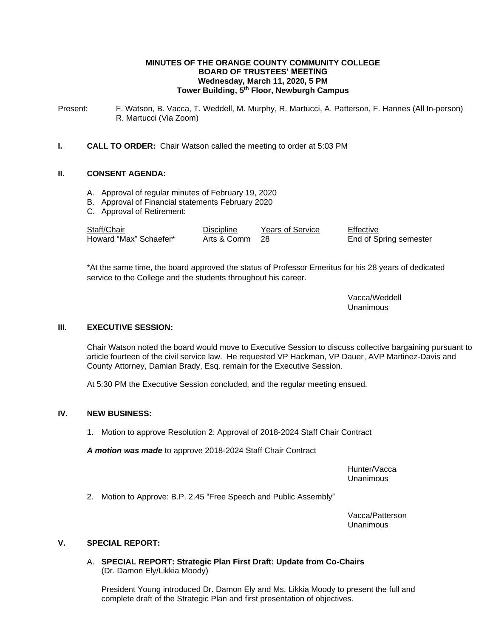### **MINUTES OF THE ORANGE COUNTY COMMUNITY COLLEGE BOARD OF TRUSTEES' MEETING Wednesday, March 11, 2020, 5 PM Tower Building, 5 th Floor, Newburgh Campus**

Present: F. Watson, B. Vacca, T. Weddell, M. Murphy, R. Martucci, A. Patterson, F. Hannes (All In-person) R. Martucci (Via Zoom)

## **I. CALL TO ORDER:** Chair Watson called the meeting to order at 5:03 PM

## **II. CONSENT AGENDA:**

- A. Approval of regular minutes of February 19, 2020
- B. Approval of Financial statements February 2020
- C. Approval of Retirement:

| Staff/Chair            | <b>Discipline</b> | <b>Years of Service</b> | Effective              |
|------------------------|-------------------|-------------------------|------------------------|
| Howard "Max" Schaefer* | Arts & Comm 28    |                         | End of Spring semester |

\*At the same time, the board approved the status of Professor Emeritus for his 28 years of dedicated service to the College and the students throughout his career.

> Vacca/Weddell Unanimous

## **III. EXECUTIVE SESSION:**

Chair Watson noted the board would move to Executive Session to discuss collective bargaining pursuant to article fourteen of the civil service law. He requested VP Hackman, VP Dauer, AVP Martinez-Davis and County Attorney, Damian Brady, Esq. remain for the Executive Session.

At 5:30 PM the Executive Session concluded, and the regular meeting ensued.

## **IV. NEW BUSINESS:**

1. Motion to approve Resolution 2: Approval of 2018-2024 Staff Chair Contract

*A motion was made* to approve 2018-2024 Staff Chair Contract

Hunter/Vacca Unanimous

2. Motion to Approve: B.P. 2.45 "Free Speech and Public Assembly"

Vacca/Patterson Unanimous

## **V. SPECIAL REPORT:**

A. **SPECIAL REPORT: Strategic Plan First Draft: Update from Co-Chairs** (Dr. Damon Ely/Likkia Moody)

President Young introduced Dr. Damon Ely and Ms. Likkia Moody to present the full and complete draft of the Strategic Plan and first presentation of objectives.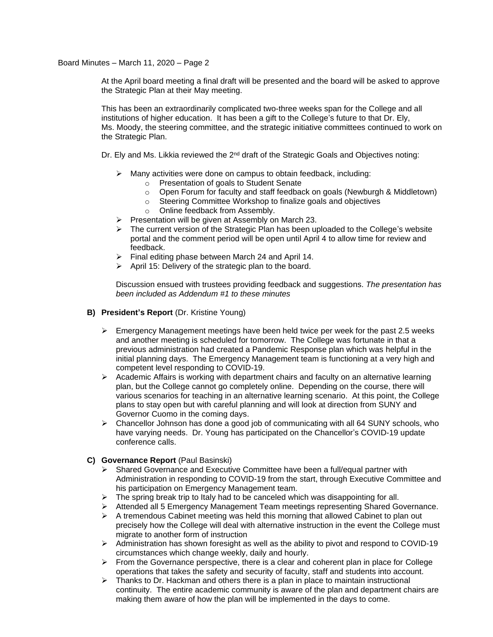Board Minutes – March 11, 2020 – Page 2

At the April board meeting a final draft will be presented and the board will be asked to approve the Strategic Plan at their May meeting.

This has been an extraordinarily complicated two-three weeks span for the College and all institutions of higher education. It has been a gift to the College's future to that Dr. Ely, Ms. Moody, the steering committee, and the strategic initiative committees continued to work on the Strategic Plan.

Dr. Ely and Ms. Likkia reviewed the  $2<sup>nd</sup>$  draft of the Strategic Goals and Objectives noting:

- ➢ Many activities were done on campus to obtain feedback, including:
	- o Presentation of goals to Student Senate
	- $\circ$  Open Forum for faculty and staff feedback on goals (Newburgh & Middletown)
	- o Steering Committee Workshop to finalize goals and objectives
	- o Online feedback from Assembly.
- ➢ Presentation will be given at Assembly on March 23.
- $\triangleright$  The current version of the Strategic Plan has been uploaded to the College's website portal and the comment period will be open until April 4 to allow time for review and feedback.
- $\triangleright$  Final editing phase between March 24 and April 14.
- ➢ April 15: Delivery of the strategic plan to the board.

Discussion ensued with trustees providing feedback and suggestions. *The presentation has been included as Addendum #1 to these minutes*

- **B) President's Report** (Dr. Kristine Young)
	- $\triangleright$  Emergency Management meetings have been held twice per week for the past 2.5 weeks and another meeting is scheduled for tomorrow. The College was fortunate in that a previous administration had created a Pandemic Response plan which was helpful in the initial planning days. The Emergency Management team is functioning at a very high and competent level responding to COVID-19.
	- ➢ Academic Affairs is working with department chairs and faculty on an alternative learning plan, but the College cannot go completely online. Depending on the course, there will various scenarios for teaching in an alternative learning scenario. At this point, the College plans to stay open but with careful planning and will look at direction from SUNY and Governor Cuomo in the coming days.
	- $\triangleright$  Chancellor Johnson has done a good job of communicating with all 64 SUNY schools, who have varying needs. Dr. Young has participated on the Chancellor's COVID-19 update conference calls.
- **C) Governance Report** (Paul Basinski)
	- $\triangleright$  Shared Governance and Executive Committee have been a full/equal partner with Administration in responding to COVID-19 from the start, through Executive Committee and his participation on Emergency Management team.
	- $\triangleright$  The spring break trip to Italy had to be canceled which was disappointing for all.
	- ➢ Attended all 5 Emergency Management Team meetings representing Shared Governance.
	- $\triangleright$  A tremendous Cabinet meeting was held this morning that allowed Cabinet to plan out precisely how the College will deal with alternative instruction in the event the College must migrate to another form of instruction
	- $\triangleright$  Administration has shown foresight as well as the ability to pivot and respond to COVID-19 circumstances which change weekly, daily and hourly.
	- ➢ From the Governance perspective, there is a clear and coherent plan in place for College operations that takes the safety and security of faculty, staff and students into account.
	- $\triangleright$  Thanks to Dr. Hackman and others there is a plan in place to maintain instructional continuity. The entire academic community is aware of the plan and department chairs are making them aware of how the plan will be implemented in the days to come.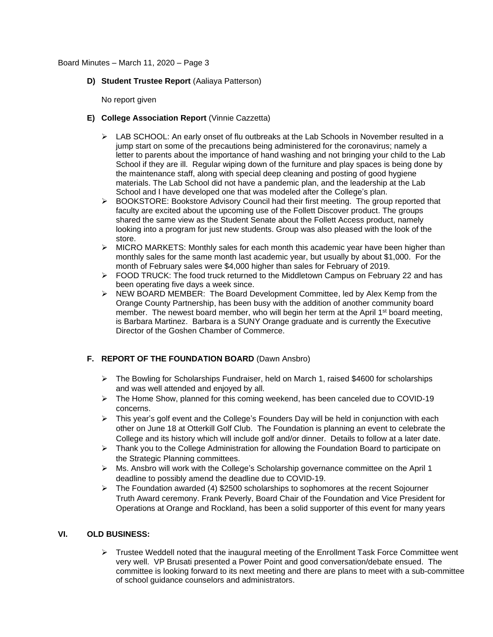#### Board Minutes – March 11, 2020 – Page 3

**D) Student Trustee Report** (Aaliaya Patterson)

No report given

## **E) College Association Report** (Vinnie Cazzetta)

- $\triangleright$  LAB SCHOOL: An early onset of flu outbreaks at the Lab Schools in November resulted in a jump start on some of the precautions being administered for the coronavirus; namely a letter to parents about the importance of hand washing and not bringing your child to the Lab School if they are ill. Regular wiping down of the furniture and play spaces is being done by the maintenance staff, along with special deep cleaning and posting of good hygiene materials. The Lab School did not have a pandemic plan, and the leadership at the Lab School and I have developed one that was modeled after the College's plan.
- ➢ BOOKSTORE: Bookstore Advisory Council had their first meeting. The group reported that faculty are excited about the upcoming use of the Follett Discover product. The groups shared the same view as the Student Senate about the Follett Access product, namely looking into a program for just new students. Group was also pleased with the look of the store.
- $\triangleright$  MICRO MARKETS: Monthly sales for each month this academic year have been higher than monthly sales for the same month last academic year, but usually by about \$1,000. For the month of February sales were \$4,000 higher than sales for February of 2019.
- $\triangleright$  FOOD TRUCK: The food truck returned to the Middletown Campus on February 22 and has been operating five days a week since.
- ➢ NEW BOARD MEMBER: The Board Development Committee, led by Alex Kemp from the Orange County Partnership, has been busy with the addition of another community board member. The newest board member, who will begin her term at the April 1<sup>st</sup> board meeting, is Barbara Martinez. Barbara is a SUNY Orange graduate and is currently the Executive Director of the Goshen Chamber of Commerce.

# **F. REPORT OF THE FOUNDATION BOARD** (Dawn Ansbro)

- ➢ The Bowling for Scholarships Fundraiser, held on March 1, raised \$4600 for scholarships and was well attended and enjoyed by all.
- ➢ The Home Show, planned for this coming weekend, has been canceled due to COVID-19 concerns.
- ➢ This year's golf event and the College's Founders Day will be held in conjunction with each other on June 18 at Otterkill Golf Club. The Foundation is planning an event to celebrate the College and its history which will include golf and/or dinner. Details to follow at a later date.
- $\triangleright$  Thank you to the College Administration for allowing the Foundation Board to participate on the Strategic Planning committees.
- $\triangleright$  Ms. Ansbro will work with the College's Scholarship governance committee on the April 1 deadline to possibly amend the deadline due to COVID-19.
- $\triangleright$  The Foundation awarded (4) \$2500 scholarships to sophomores at the recent Sojourner Truth Award ceremony. Frank Peverly, Board Chair of the Foundation and Vice President for Operations at Orange and Rockland, has been a solid supporter of this event for many years

## **VI. OLD BUSINESS:**

➢ Trustee Weddell noted that the inaugural meeting of the Enrollment Task Force Committee went very well. VP Brusati presented a Power Point and good conversation/debate ensued. The committee is looking forward to its next meeting and there are plans to meet with a sub-committee of school guidance counselors and administrators.